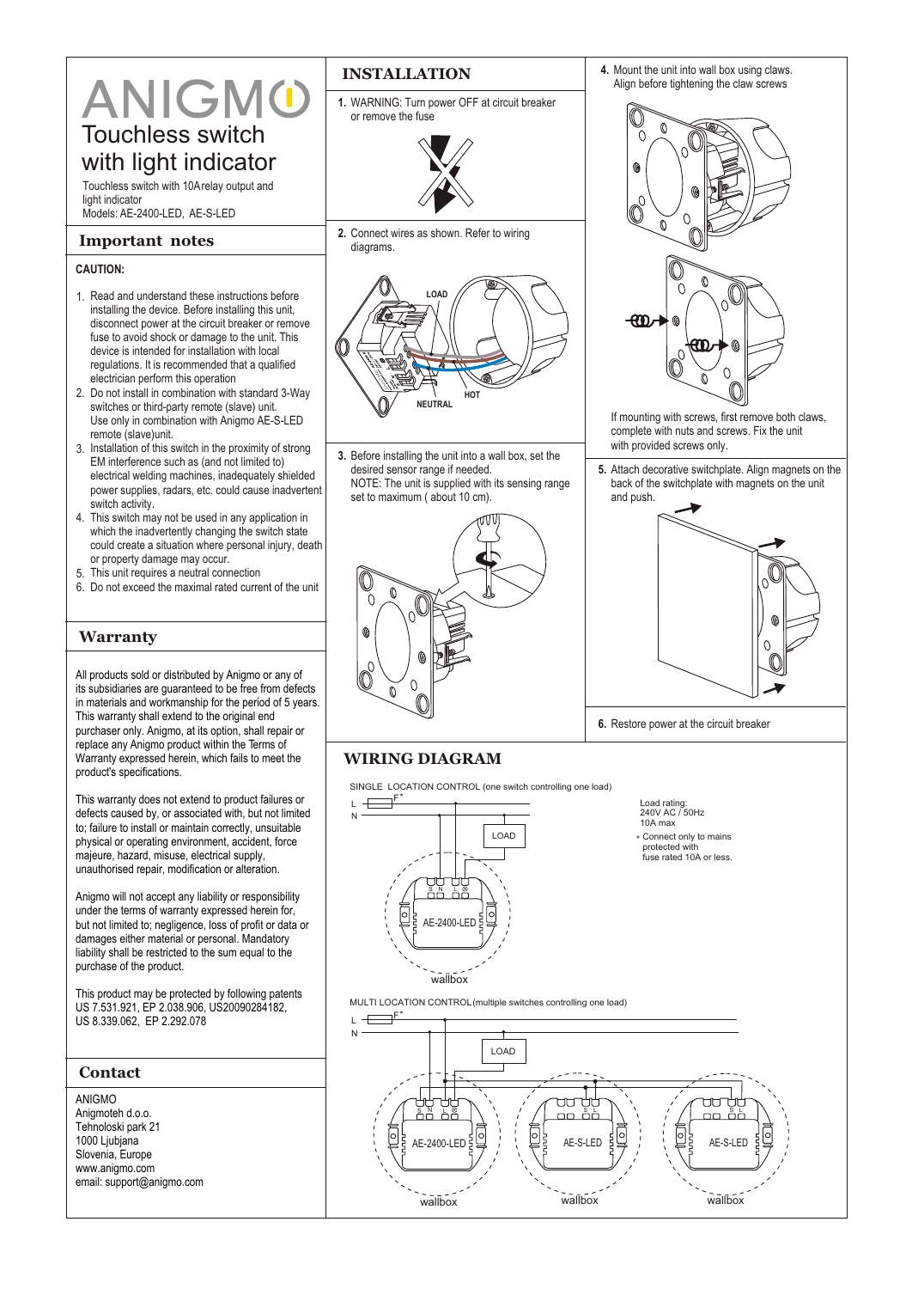# ANIGMO Touchless switch

with light indicator

Touchless switch with 10A relay output and light indicator Models: AE-2400-LED, AE-S-LED

### **Important notes**

#### **CAUTION:**

- 1. Read and understand these instructions before installing the device. Before installing this unit, disconnect power at the circuit breaker or remove fuse to avoid shock or damage to the unit. This device is intended for installation with local regulations. It is recommended that a qualified electrician perform this operation
- 2. Do not install in combination with standard 3-Way switches or third-party remote (slave) unit. Use only in combination with Anigmo AE-S-LED remote (slave)unit.
- 3. Installation of this switch in the proximity of strong EM interference such as (and not limited to) electrical welding machines, inadequately shielded power supplies, radars, etc. could cause inadvertent switch activity.
- 4. This switch may not be used in any application in which the inadvertently changing the switch state could create a situation where personal injury, death or property damage may occur.
- 5. This unit requires a neutral connection
- 6. Do not exceed the maximal rated current of the unit

## **Warranty**

All products sold or distributed by Anigmo or any of its subsidiaries are guaranteed to be free from defects in materials and workmanship for the period of 5 years. This warranty shall extend to the original end purchaser only. Anigmo, at its option, shall repair or replace any Anigmo product within the Terms of Warranty expressed herein, which fails to meet the product's specifications.

This warranty does not extend to product failures or defects caused by, or associated with, but not limited to; failure to install or maintain correctly, unsuitable physical or operating environment, accident, force majeure, hazard, misuse, electrical supply, unauthorised repair, modification or alteration.

Anigmo will not accept any liability or responsibility under the terms of warranty expressed herein for, but not limited to; negligence, loss of profit or data or damages either material or personal. Mandatory liability shall be restricted to the sum equal to the purchase of the product.

This product may be protected by following patents US 7.531.921, EP 2.038.906, US20090284182, US 8.339.062, EP 2.292.078

| Contact                                                                                                                              |
|--------------------------------------------------------------------------------------------------------------------------------------|
| ANIGMO<br>Anigmoteh d.o.o.<br>Tehnoloski park 21<br>1000 Ljubjana<br>Slovenia, Europe<br>www.anigmo.com<br>email: support@anigmo.com |
|                                                                                                                                      |

# **INSTALLATION**

**1.** WARNING: Turn power OFF at circuit breaker or remove the fuse



**2.** Connect wires as shown. Refer to wiring diagrams.



**3.** Before installing the unit into a wall box, set the desired sensor range if needed. NOTE: The unit is supplied with its sensing range set to maximum ( about 10 cm).





- If mounting with screws, first remove both claws, complete with nuts and screws. Fix the unit with provided screws only.
- **5.** Attach decorative switchplate. Align magnets on the back of the switchplate with magnets on the unit and push.



**6.** Restore power at the circuit breaker

# **WIRING DIAGRAM**

SINGLE LOCATION CONTROL (one switch controlling one load)

 $\overline{\phantom{a}}^{\mathsf{F}}$ L N LOAD S N L |∘ AE-2400-LED wallbox

Load rating: 240V AC / 50Hz

- 10A max
- \* Connect only to mains protected with
- fuse rated 10A or less.

MULTI LOCATION CONTROL (multiple switches controlling one load)